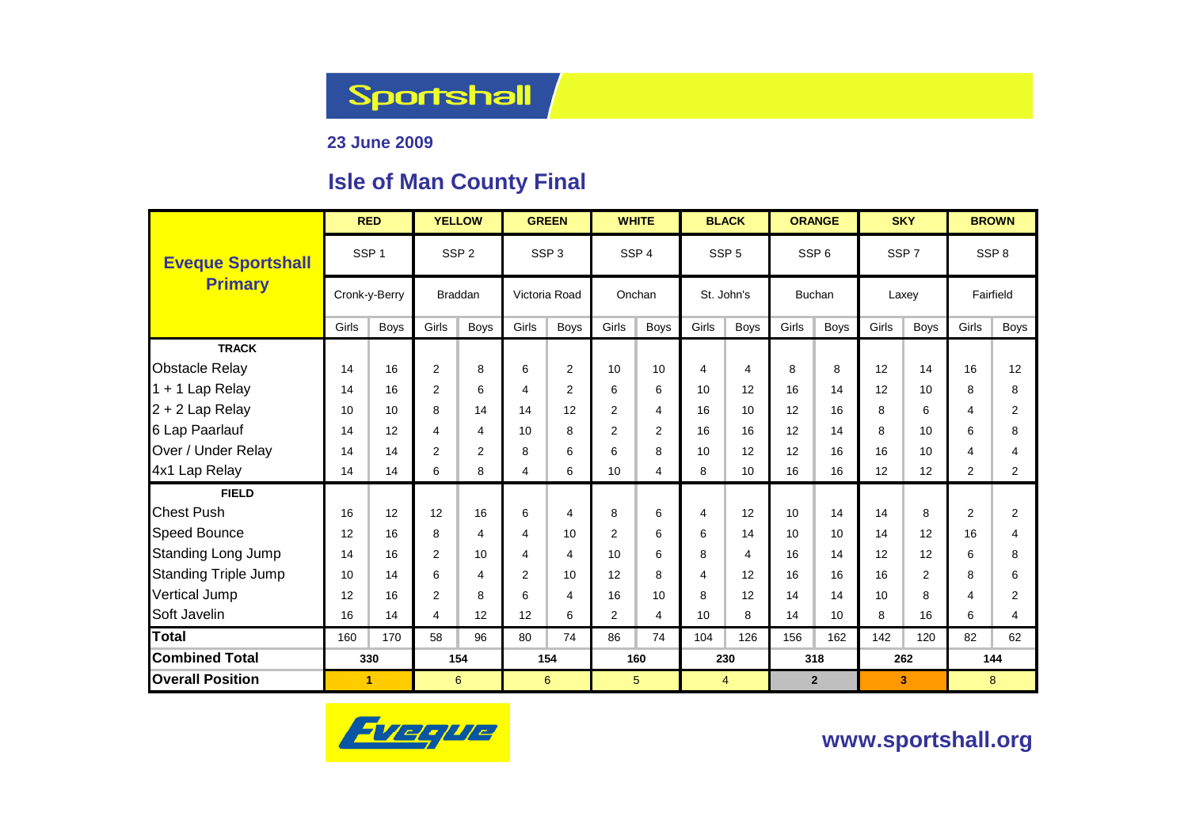Sportshall

### **23 June 2009**

### **Isle of Man County Final**

|                             | <b>RED</b>       |             | <b>YELLOW</b>  |                  |                         | <b>GREEN</b>     |       | <b>WHITE</b>     |                | <b>BLACK</b>     |       | <b>ORANGE</b>    |       | <b>SKY</b>       | <b>BROWN</b>   |                  |  |
|-----------------------------|------------------|-------------|----------------|------------------|-------------------------|------------------|-------|------------------|----------------|------------------|-------|------------------|-------|------------------|----------------|------------------|--|
| <b>Eveque Sportshall</b>    | SSP <sub>1</sub> |             |                | SSP <sub>2</sub> |                         | SSP <sub>3</sub> |       | SSP <sub>4</sub> |                | SSP <sub>5</sub> |       | SSP <sub>6</sub> |       | SSP <sub>7</sub> |                | SSP <sub>8</sub> |  |
| <b>Primary</b>              | Cronk-y-Berry    |             | <b>Braddan</b> |                  | Victoria Road           |                  |       | Onchan           |                | St. John's       |       | <b>Buchan</b>    |       | Laxey            | Fairfield      |                  |  |
|                             | Girls            | <b>Boys</b> | Girls          | <b>Boys</b>      | Girls                   | <b>Boys</b>      | Girls | <b>Boys</b>      | Girls          | <b>Boys</b>      | Girls | <b>Boys</b>      | Girls | <b>Boys</b>      | Girls          | <b>Boys</b>      |  |
| <b>TRACK</b>                |                  |             |                |                  |                         |                  |       |                  |                |                  |       |                  |       |                  |                |                  |  |
| <b>Obstacle Relay</b>       | 14               | 16          | $\overline{2}$ | 8                | 6                       | $\overline{2}$   | 10    | 10               | 4              | $\overline{4}$   | 8     | 8                | 12    | 14               | 16             | 12               |  |
| 1 + 1 Lap Relay             | 14               | 16          | $\overline{2}$ | 6                | 4                       | 2                | 6     | 6                | 10             | 12               | 16    | 14               | 12    | 10               | 8              | 8                |  |
| $2 + 2$ Lap Relay           | 10               | 10          | 8              | 14               | 14                      | 12               | 2     | 4                | 16             | 10               | 12    | 16               | 8     | 6                | 4              | 2                |  |
| 6 Lap Paarlauf              | 14               | 12          | 4              | 4                | 10                      | 8                | 2     | $\overline{2}$   | 16             | 16               | 12    | 14               | 8     | 10               | 6              | 8                |  |
| Over / Under Relay          | 14               | 14          | $\overline{2}$ | $\overline{2}$   | 8                       | 6                | 6     | 8                | 10             | 12               | 12    | 16               | 16    | 10               | 4              | 4                |  |
| 4x1 Lap Relay               | 14               | 14          | 6              | 8                | 4                       | 6                | 10    | 4                | 8              | 10               | 16    | 16               | 12    | 12               | $\overline{2}$ | $\overline{2}$   |  |
| <b>FIELD</b>                |                  |             |                |                  |                         |                  |       |                  |                |                  |       |                  |       |                  |                |                  |  |
| <b>Chest Push</b>           | 16               | 12          | 12             | 16               | 6                       | 4                | 8     | 6                | 4              | 12               | 10    | 14               | 14    | 8                | $\overline{2}$ | $\overline{2}$   |  |
| <b>Speed Bounce</b>         | 12               | 16          | 8              | 4                | 4                       | 10               | 2     | 6                | 6              | 14               | 10    | 10               | 14    | 12               | 16             | 4                |  |
| <b>Standing Long Jump</b>   | 14               | 16          | $\overline{2}$ | 10               | $\overline{\mathbf{4}}$ | 4                | 10    | 6                | 8              | 4                | 16    | 14               | 12    | 12               | 6              | 8                |  |
| <b>Standing Triple Jump</b> | 10               | 14          | 6              | 4                | 2                       | 10               | 12    | 8                | $\overline{4}$ | 12               | 16    | 16               | 16    | $\overline{2}$   | 8              | 6                |  |
| Vertical Jump               | 12               | 16          | $\overline{2}$ | 8                | 6                       | 4                | 16    | 10               | 8              | 12               | 14    | 14               | 10    | 8                | 4              | 2                |  |
| Soft Javelin                | 16               | 14          | $\overline{4}$ | 12               | 12                      | 6                | 2     | 4                | 10             | 8                | 14    | 10               | 8     | 16               | 6              | 4                |  |
| <b>Total</b>                | 160              | 170         | 58             | 96               | 80                      | 74               | 86    | 74               | 104            | 126              | 156   | 162              | 142   | 120              | 82             | 62               |  |
| <b>Combined Total</b>       | 330              |             | 154            |                  | 154                     |                  | 160   |                  |                | 230              |       | 318              |       | 262              | 144            |                  |  |
| <b>Overall Position</b>     | 1                |             | 6              |                  |                         | 6                |       | 5 <sup>5</sup>   |                | 4                |       | $\overline{2}$   |       | 3                |                | 8                |  |



**www.sportshall.org**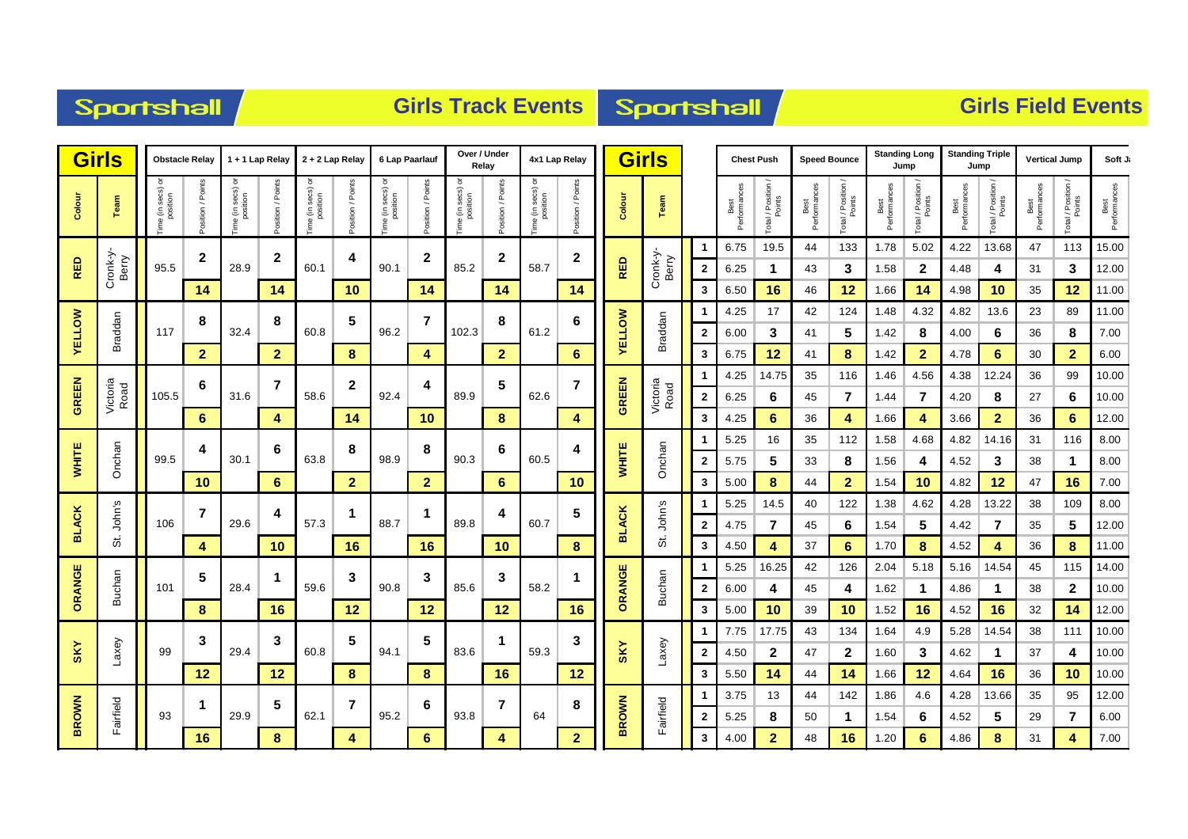### Sportshall

### **Girls Track Events Sportshall**

| <b>Girls</b>  |                   |                              | <b>Obstacle Relay</b> | 1 + 1 Lap Relay              |                    | 2 + 2 Lap Relay                  |                   | 6 Lap Paarlauf                |                  | Over / Under<br>Relay            |                   | 4x1 Lap Relay                 |                   |               | <b>Girls</b>      |              |                      | <b>Chest Push</b><br><b>Speed Bounce</b> |                      |                              | <b>Standing Long</b><br>Jump |                    |                       | <b>Standing Triple</b><br>Jump |                      | <b>Vertical Jump</b> | Soft J.              |
|---------------|-------------------|------------------------------|-----------------------|------------------------------|--------------------|----------------------------------|-------------------|-------------------------------|------------------|----------------------------------|-------------------|-------------------------------|-------------------|---------------|-------------------|--------------|----------------------|------------------------------------------|----------------------|------------------------------|------------------------------|--------------------|-----------------------|--------------------------------|----------------------|----------------------|----------------------|
| Colour        | Team              | ime (in secs) or<br>position | Points<br>sition /    | ime (in secs) or<br>position | Points<br>sition / | e (in secs) or<br>position<br>em | Position / Points | Time (in secs) or<br>position | osition / Points | ਰ<br>ime (in secs) c<br>position | Position / Points | Time (in secs) or<br>position | Position / Points | Colour        | Team              |              | Best<br>Performances | Total / Position /<br>Points             | Performances<br>Best | Total / Position /<br>Points | Best<br>Performances         | Total / Position / | Performances<br>Best  | Total / Position               | Best<br>Performances | Total / Position /   | Best<br>Performances |
|               |                   |                              | $\mathbf{2}$          |                              | $\mathbf{2}$       |                                  | 4                 |                               | $\mathbf{2}$     |                                  | $\mathbf{2}$      |                               | $\mathbf{2}$      |               |                   |              | 6.75                 | 19.5                                     | 44                   | 133                          | 1.78                         | 5.02               | 4.22                  | 13.68                          | 47                   | 113                  | 15.00                |
| RED           | Cronk-y-<br>Berry | 95.5                         |                       | 28.9                         |                    | 60.1                             |                   | 90.1                          |                  | 85.2                             |                   | 58.7                          |                   | RED           | Cronk-y-<br>Berry | $\mathbf{2}$ | 6.25                 |                                          | 43                   | 3                            | 1.58                         | $\mathbf{2}$       | 4.48                  | 4                              | 31                   | 3                    | 12.00                |
|               |                   |                              | 14                    |                              | 14                 |                                  | 10                |                               | 14               |                                  | 14                |                               | 14                |               |                   | 3            | 6.50                 | 16                                       | 46                   | 12                           | 1.66                         | 14                 | 4.98                  | 10                             | 35                   | 12                   | 11.00                |
|               |                   |                              | 8                     |                              | 8                  |                                  | 5                 |                               | $\overline{7}$   |                                  | 8                 |                               | 6                 |               |                   |              | 4.25                 | 17                                       | 42                   | 124                          | 1.48                         | 4.32               | 4.82                  | 13.6                           | 23                   | 89                   | 11.00                |
| <b>YELLOW</b> | Braddan           | 117                          |                       | 32.4                         |                    | 60.8                             |                   | 96.2                          |                  | 102.3                            |                   | 61.2                          |                   | <b>AELLOM</b> | Braddan           | $\mathbf{2}$ | 6.00                 | 3                                        | 41                   | 5                            | 1.42                         | 8                  | 4.00                  | 6                              | 36                   | 8                    | 7.00                 |
|               |                   |                              | $\mathbf{2}$          |                              | $\mathbf{2}$       |                                  | 8                 |                               | 4                |                                  | $\overline{2}$    |                               | 6                 |               |                   | 3            | 6.75                 | 12                                       | 41                   | 8                            | 1.42                         | $\mathbf{2}$       | 4.78                  | 6                              | 30                   | $\mathbf{2}$         | 6.00                 |
|               |                   |                              | 6                     |                              | $\overline{7}$     |                                  | 2                 |                               | 4                |                                  | 5                 |                               | $\overline{7}$    |               |                   |              | 4.25                 | 14.75                                    | 35                   | 116                          | 1.46                         | 4.56               | 4.38                  | 12.24                          | 36                   | 99                   | 10.00                |
| <b>GREEN</b>  | Victoria<br>Road  | 105.5                        |                       | 31.6                         |                    | 58.6                             |                   | 92.4                          |                  | 89.9                             |                   | 62.6                          |                   | <b>GREEN</b>  | Victoria<br>Road  | $\mathbf{2}$ | 6.25                 | 6                                        | 45                   | $\overline{7}$               | 1.44                         | $\overline{7}$     | 4.20                  | 8                              | 27                   | 6                    | 10.00                |
|               |                   |                              | 6                     |                              | 4                  |                                  | 14                |                               | 10               |                                  | 8                 |                               | 4                 |               |                   | 3            | 4.25                 | 6                                        | 36                   | 4                            | 1.66                         | 4                  | 3.66                  | $\overline{2}$                 | 36                   | 6                    | 12.00<br>8.00        |
| <b>WHITE</b>  | Onchan            | 99.5                         | 4                     | 6<br>30.1                    | 63.8               | 8                                | 98.9              | 8                             | 90.3             | 6                                | 60.5              | 4                             | <b>WHITE</b>      | Onchan        | $\mathbf{2}$      | 5.25<br>5.75 | 16<br>5              | 35<br>33                                 | 112<br>8             | 1.58<br>1.56                 | 4.68<br>4                    | 4.82<br>4.52       | 14.16<br>$\mathbf{3}$ | 31<br>38                       | 116<br>1             | 8.00                 |                      |
|               |                   |                              | 10                    |                              | 6                  |                                  | $\overline{2}$    |                               | $\overline{2}$   |                                  | 6                 |                               | 10                |               |                   | 3            | 5.00                 | 8                                        | 44                   | $\overline{2}$               | 1.54                         | 10                 | 4.82                  | 12                             | 47                   | 16                   | 7.00                 |
|               |                   |                              |                       |                              |                    |                                  |                   |                               |                  |                                  |                   |                               |                   |               |                   |              | 5.25                 | 14.5                                     | 40                   | 122                          | 1.38                         | 4.62               | 4.28                  | 13.22                          | 38                   | 109                  | 8.00                 |
| <b>BLACK</b>  | John's            | 106                          | $\overline{7}$        | 29.6                         | 4                  | 57.3                             | 1                 | 88.7                          | 1                | 89.8                             | 4                 | 60.7                          | 5                 | <b>BLACK</b>  | John's            | $\mathbf{2}$ | 4.75                 |                                          | 45                   | 6                            | 1.54                         | 5                  | 4.42                  | $\overline{7}$                 | 35                   | 5                    | 12.00                |
|               | ά,                |                              | 4                     |                              | 10                 |                                  | 16                |                               | 16               |                                  | 10                |                               | 8                 |               | 5.                | 3            | 4.50                 | 4                                        | 37                   | 6                            | 1.70                         | 8                  | 4.52                  | 4                              | 36                   | 8                    | 11.00                |
|               |                   |                              |                       |                              |                    |                                  |                   |                               |                  |                                  |                   |                               |                   |               |                   |              | 5.25                 | 16.25                                    | 42                   | 126                          | 2.04                         | 5.18               | 5.16                  | 14.54                          | 45                   | 115                  | 14.00                |
| ORANGE        | Buchan            | 101                          | 5                     | 28.4                         |                    | 59.6                             | 3                 | 90.8                          | 3                | 85.6                             | 3                 | 58.2                          | 1                 | ORANGE        | <b>Buchan</b>     | $\mathbf{2}$ | 6.00                 | 4                                        | 45                   | 4                            | 1.62                         | 1                  | 4.86                  | 1                              | 38                   | $\mathbf{2}$         | 10.00                |
|               |                   |                              | 8                     |                              | 16                 |                                  | 12                |                               | 12               |                                  | 12                |                               | 16                |               |                   | 3            | 5.00                 | 10                                       | 39                   | 10                           | 1.52                         | 16                 | 4.52                  | 16                             | 32                   | 14                   | 12.00                |
|               |                   |                              |                       |                              |                    |                                  |                   |                               |                  |                                  |                   |                               |                   |               |                   |              | 7.75                 | 17.75                                    | 43                   | 134                          | 1.64                         | 4.9                | 5.28                  | 14.54                          | 38                   | 111                  | 10.00                |
| <b>SKY</b>    | Laxey             | 99                           | 3                     | 29.4                         | 3                  | 60.8                             | 5                 | 94.1                          | 5                | 83.6                             | 1                 | 59.3                          | 3                 | <b>SKY</b>    | Laxey             | $\mathbf{2}$ | 4.50                 | 2                                        | 47                   | $\mathbf{2}$                 | 1.60                         | 3                  | 4.62                  | $\mathbf 1$                    | 37                   | 4                    | 10.00                |
|               |                   |                              | 12                    |                              | 12                 |                                  | 8                 |                               | 8                |                                  | 16                |                               | 12                |               |                   | 3            | 5.50                 | 14                                       | 44                   | 14                           | 1.66                         | 12                 | 4.64                  | 16                             | 36                   | 10                   | 10.00                |
|               |                   |                              | 1                     |                              | 5                  |                                  | $\overline{7}$    |                               |                  |                                  |                   |                               | 8                 |               |                   |              | 3.75                 | 13                                       | 44                   | 142                          | 1.86                         | 4.6                | 4.28                  | 13.66                          | 35                   | 95                   | 12.00                |
| <b>BROWN</b>  | Fairfield         | 93                           |                       | 29.9                         |                    | 62.1                             |                   | 95.2                          | 6                | 93.8                             | $\overline{7}$    | 64                            |                   | <b>BROWN</b>  | Fairfield         | $\mathbf{2}$ | 5.25                 | 8                                        | 50                   |                              | 1.54                         | 6                  | 4.52                  | 5                              | 29                   | $\overline{7}$       | 6.00                 |
|               |                   |                              | 16                    |                              | 8                  |                                  | 4                 |                               | 6                |                                  | 4                 |                               | $\mathbf{2}$      |               |                   | $\mathbf{3}$ | 4.00                 | $\overline{2}$                           | 48                   | 16                           | 1.20                         | 6                  | 4.86                  | 8                              | 31                   | 4                    | 7.00                 |